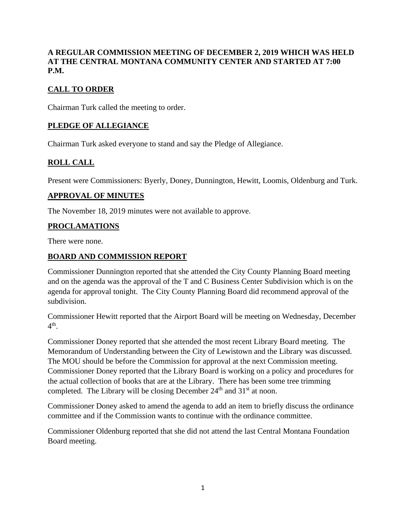# **A REGULAR COMMISSION MEETING OF DECEMBER 2, 2019 WHICH WAS HELD AT THE CENTRAL MONTANA COMMUNITY CENTER AND STARTED AT 7:00 P.M.**

# **CALL TO ORDER**

Chairman Turk called the meeting to order.

## **PLEDGE OF ALLEGIANCE**

Chairman Turk asked everyone to stand and say the Pledge of Allegiance.

# **ROLL CALL**

Present were Commissioners: Byerly, Doney, Dunnington, Hewitt, Loomis, Oldenburg and Turk.

#### **APPROVAL OF MINUTES**

The November 18, 2019 minutes were not available to approve.

#### **PROCLAMATIONS**

There were none.

#### **BOARD AND COMMISSION REPORT**

Commissioner Dunnington reported that she attended the City County Planning Board meeting and on the agenda was the approval of the T and C Business Center Subdivision which is on the agenda for approval tonight. The City County Planning Board did recommend approval of the subdivision.

Commissioner Hewitt reported that the Airport Board will be meeting on Wednesday, December  $4^{\text{th}}$ .

Commissioner Doney reported that she attended the most recent Library Board meeting. The Memorandum of Understanding between the City of Lewistown and the Library was discussed. The MOU should be before the Commission for approval at the next Commission meeting. Commissioner Doney reported that the Library Board is working on a policy and procedures for the actual collection of books that are at the Library. There has been some tree trimming completed. The Library will be closing December  $24<sup>th</sup>$  and  $31<sup>st</sup>$  at noon.

Commissioner Doney asked to amend the agenda to add an item to briefly discuss the ordinance committee and if the Commission wants to continue with the ordinance committee.

Commissioner Oldenburg reported that she did not attend the last Central Montana Foundation Board meeting.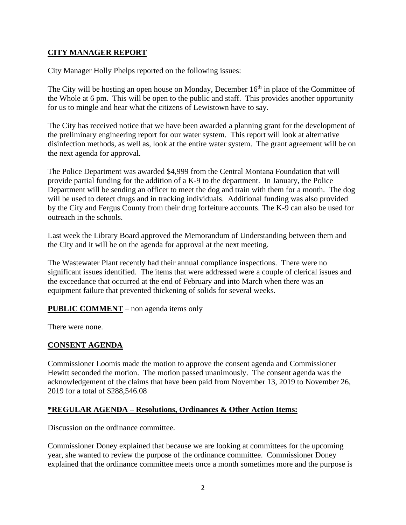## **CITY MANAGER REPORT**

City Manager Holly Phelps reported on the following issues:

The City will be hosting an open house on Monday, December  $16<sup>th</sup>$  in place of the Committee of the Whole at 6 pm. This will be open to the public and staff. This provides another opportunity for us to mingle and hear what the citizens of Lewistown have to say.

The City has received notice that we have been awarded a planning grant for the development of the preliminary engineering report for our water system. This report will look at alternative disinfection methods, as well as, look at the entire water system. The grant agreement will be on the next agenda for approval.

The Police Department was awarded \$4,999 from the Central Montana Foundation that will provide partial funding for the addition of a K-9 to the department. In January, the Police Department will be sending an officer to meet the dog and train with them for a month. The dog will be used to detect drugs and in tracking individuals. Additional funding was also provided by the City and Fergus County from their drug forfeiture accounts. The K-9 can also be used for outreach in the schools.

Last week the Library Board approved the Memorandum of Understanding between them and the City and it will be on the agenda for approval at the next meeting.

The Wastewater Plant recently had their annual compliance inspections. There were no significant issues identified. The items that were addressed were a couple of clerical issues and the exceedance that occurred at the end of February and into March when there was an equipment failure that prevented thickening of solids for several weeks.

## **PUBLIC COMMENT** – non agenda items only

There were none.

## **CONSENT AGENDA**

Commissioner Loomis made the motion to approve the consent agenda and Commissioner Hewitt seconded the motion. The motion passed unanimously. The consent agenda was the acknowledgement of the claims that have been paid from November 13, 2019 to November 26, 2019 for a total of \$288,546.08

#### **\*REGULAR AGENDA – Resolutions, Ordinances & Other Action Items:**

Discussion on the ordinance committee.

Commissioner Doney explained that because we are looking at committees for the upcoming year, she wanted to review the purpose of the ordinance committee. Commissioner Doney explained that the ordinance committee meets once a month sometimes more and the purpose is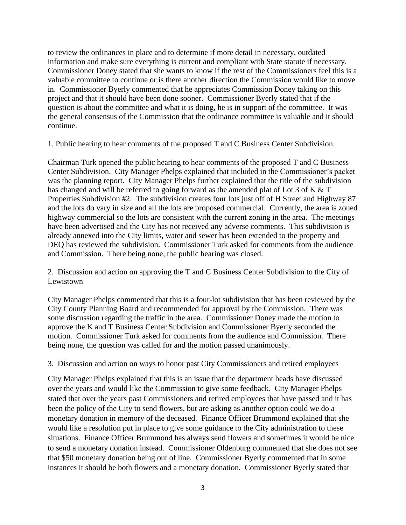to review the ordinances in place and to determine if more detail in necessary, outdated information and make sure everything is current and compliant with State statute if necessary. Commissioner Doney stated that she wants to know if the rest of the Commissioners feel this is a valuable committee to continue or is there another direction the Commission would like to move in. Commissioner Byerly commented that he appreciates Commission Doney taking on this project and that it should have been done sooner. Commissioner Byerly stated that if the question is about the committee and what it is doing, he is in support of the committee. It was the general consensus of the Commission that the ordinance committee is valuable and it should continue.

1. Public hearing to hear comments of the proposed T and C Business Center Subdivision.

Chairman Turk opened the public hearing to hear comments of the proposed T and C Business Center Subdivision. City Manager Phelps explained that included in the Commissioner's packet was the planning report. City Manager Phelps further explained that the title of the subdivision has changed and will be referred to going forward as the amended plat of Lot 3 of K & T Properties Subdivision #2. The subdivision creates four lots just off of H Street and Highway 87 and the lots do vary in size and all the lots are proposed commercial. Currently, the area is zoned highway commercial so the lots are consistent with the current zoning in the area. The meetings have been advertised and the City has not received any adverse comments. This subdivision is already annexed into the City limits, water and sewer has been extended to the property and DEQ has reviewed the subdivision. Commissioner Turk asked for comments from the audience and Commission. There being none, the public hearing was closed.

2. Discussion and action on approving the T and C Business Center Subdivision to the City of Lewistown

City Manager Phelps commented that this is a four-lot subdivision that has been reviewed by the City County Planning Board and recommended for approval by the Commission. There was some discussion regarding the traffic in the area. Commissioner Doney made the motion to approve the K and T Business Center Subdivision and Commissioner Byerly seconded the motion. Commissioner Turk asked for comments from the audience and Commission. There being none, the question was called for and the motion passed unanimously.

3. Discussion and action on ways to honor past City Commissioners and retired employees

City Manager Phelps explained that this is an issue that the department heads have discussed over the years and would like the Commission to give some feedback. City Manager Phelps stated that over the years past Commissioners and retired employees that have passed and it has been the policy of the City to send flowers, but are asking as another option could we do a monetary donation in memory of the deceased. Finance Officer Brummond explained that she would like a resolution put in place to give some guidance to the City administration to these situations. Finance Officer Brummond has always send flowers and sometimes it would be nice to send a monetary donation instead. Commissioner Oldenburg commented that she does not see that \$50 monetary donation being out of line. Commissioner Byerly commented that in some instances it should be both flowers and a monetary donation. Commissioner Byerly stated that